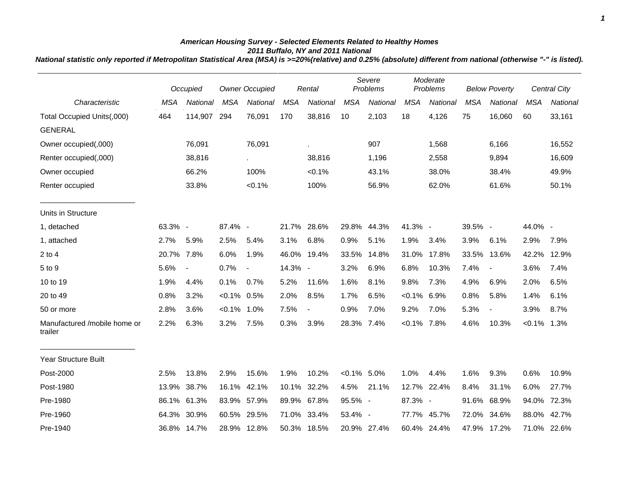## *American Housing Survey - Selected Elements Related to Healthy Homes 2011 Buffalo, NY and 2011 National*

*National statistic only reported if Metropolitan Statistical Area (MSA) is >=20%(relative) and 0.25% (absolute) different from national (otherwise "-" is listed).*

|                                         |            | Occupied                 | <b>Owner Occupied</b> |                          | Rental     |                | Severe<br>Problems |                 | Moderate<br>Problems |             | <b>Below Poverty</b> |                          |             | <b>Central City</b> |
|-----------------------------------------|------------|--------------------------|-----------------------|--------------------------|------------|----------------|--------------------|-----------------|----------------------|-------------|----------------------|--------------------------|-------------|---------------------|
| Characteristic                          | <b>MSA</b> | <b>National</b>          | <b>MSA</b>            | <b>National</b>          | <b>MSA</b> | National       | <b>MSA</b>         | <b>National</b> | <b>MSA</b>           | National    | <b>MSA</b>           | National                 | <b>MSA</b>  | National            |
| Total Occupied Units(,000)              | 464        | 114,907                  | 294                   | 76,091                   | 170        | 38,816         | 10                 | 2,103           | 18                   | 4,126       | 75                   | 16,060                   | 60          | 33,161              |
| <b>GENERAL</b>                          |            |                          |                       |                          |            |                |                    |                 |                      |             |                      |                          |             |                     |
| Owner occupied(,000)                    |            | 76,091                   |                       | 76,091                   |            | à.             |                    | 907             |                      | 1,568       |                      | 6,166                    |             | 16,552              |
| Renter occupied(,000)                   |            | 38,816                   |                       |                          |            | 38,816         |                    | 1,196           |                      | 2,558       |                      | 9,894                    |             | 16,609              |
| Owner occupied                          |            | 66.2%                    |                       | 100%                     |            | $< 0.1\%$      |                    | 43.1%           |                      | 38.0%       |                      | 38.4%                    |             | 49.9%               |
| Renter occupied                         |            | 33.8%                    |                       | $< 0.1\%$                |            | 100%           |                    | 56.9%           |                      | 62.0%       |                      | 61.6%                    |             | 50.1%               |
| Units in Structure                      |            |                          |                       |                          |            |                |                    |                 |                      |             |                      |                          |             |                     |
| 1, detached                             | 63.3% -    |                          | 87.4% -               |                          |            | 21.7% 28.6%    |                    | 29.8% 44.3%     | 41.3% -              |             | 39.5% -              |                          | 44.0% -     |                     |
| 1, attached                             | 2.7%       | 5.9%                     | 2.5%                  | 5.4%                     | 3.1%       | 6.8%           | 0.9%               | 5.1%            | 1.9%                 | 3.4%        | 3.9%                 | 6.1%                     | 2.9%        | 7.9%                |
| $2$ to $4$                              | 20.7%      | 7.8%                     | 6.0%                  | 1.9%                     |            | 46.0% 19.4%    | 33.5%              | 14.8%           | 31.0%                | 17.8%       | 33.5%                | 13.6%                    | 42.2%       | 12.9%               |
| 5 to 9                                  | 5.6%       | $\overline{\phantom{a}}$ | 0.7%                  | $\overline{\phantom{a}}$ | 14.3% -    |                | 3.2%               | 6.9%            | 6.8%                 | 10.3%       | 7.4%                 | $\overline{\phantom{a}}$ | 3.6%        | 7.4%                |
| 10 to 19                                | 1.9%       | 4.4%                     | 0.1%                  | 0.7%                     | 5.2%       | 11.6%          | 1.6%               | 8.1%            | 9.8%                 | 7.3%        | 4.9%                 | 6.9%                     | 2.0%        | 6.5%                |
| 20 to 49                                | 0.8%       | 3.2%                     | $< 0.1\%$ 0.5%        |                          | 2.0%       | 8.5%           | 1.7%               | 6.5%            | $< 0.1\%$            | 6.9%        | 0.8%                 | 5.8%                     | 1.4%        | 6.1%                |
| 50 or more                              | 2.8%       | 3.6%                     | $< 0.1\%$ 1.0%        |                          | 7.5%       | $\blacksquare$ | 0.9%               | 7.0%            | 9.2%                 | 7.0%        | 5.3%                 | $\blacksquare$           | 3.9%        | 8.7%                |
| Manufactured /mobile home or<br>trailer | 2.2%       | 6.3%                     | 3.2%                  | 7.5%                     | 0.3%       | 3.9%           | 28.3%              | 7.4%            | $< 0.1\%$ 7.8%       |             | 4.6%                 | 10.3%                    | $< 0.1\%$   | 1.3%                |
| <b>Year Structure Built</b>             |            |                          |                       |                          |            |                |                    |                 |                      |             |                      |                          |             |                     |
| Post-2000                               | 2.5%       | 13.8%                    | 2.9%                  | 15.6%                    | 1.9%       | 10.2%          | $< 0.1\%$ 5.0%     |                 | 1.0%                 | 4.4%        | 1.6%                 | 9.3%                     | 0.6%        | 10.9%               |
| Post-1980                               | 13.9%      | 38.7%                    | 16.1%                 | 42.1%                    | 10.1%      | 32.2%          | 4.5%               | 21.1%           | 12.7%                | 22.4%       | 8.4%                 | 31.1%                    | 6.0%        | 27.7%               |
| Pre-1980                                | 86.1%      | 61.3%                    | 83.9% 57.9%           |                          |            | 89.9% 67.8%    | 95.5% -            |                 | 87.3% -              |             | 91.6%                | 68.9%                    | 94.0%       | 72.3%               |
| Pre-1960                                | 64.3%      | 30.9%                    | 60.5% 29.5%           |                          |            | 71.0% 33.4%    | 53.4% -            |                 |                      | 77.7% 45.7% | 72.0%                | 34.6%                    | 88.0%       | 42.7%               |
| Pre-1940                                |            | 36.8% 14.7%              |                       | 28.9% 12.8%              |            | 50.3% 18.5%    |                    | 20.9% 27.4%     |                      | 60.4% 24.4% |                      | 47.9% 17.2%              | 71.0% 22.6% |                     |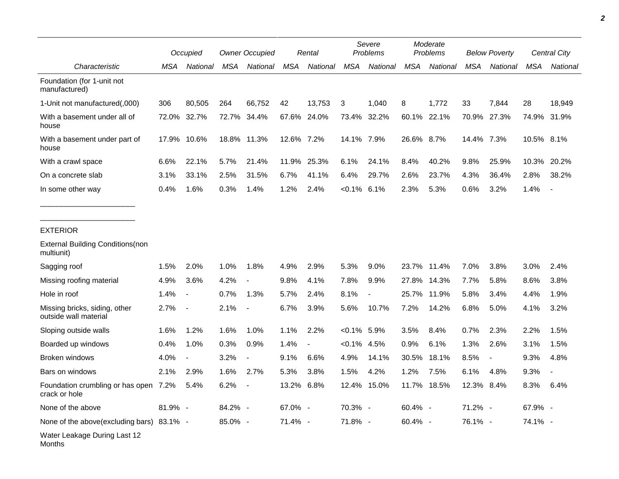|                                                        |         | Occupied                 |            | <b>Owner Occupied</b>    |            | Rental                   |                | Severe<br>Problems |            | Moderate<br>Problems |            | <b>Below Poverty</b>     | Central City |                          |
|--------------------------------------------------------|---------|--------------------------|------------|--------------------------|------------|--------------------------|----------------|--------------------|------------|----------------------|------------|--------------------------|--------------|--------------------------|
| Characteristic                                         | MSA     | National                 | <b>MSA</b> | National                 | <b>MSA</b> | National                 | <b>MSA</b>     | National           | <b>MSA</b> | National             | <b>MSA</b> | National                 | <b>MSA</b>   | National                 |
| Foundation (for 1-unit not<br>manufactured)            |         |                          |            |                          |            |                          |                |                    |            |                      |            |                          |              |                          |
| 1-Unit not manufactured(,000)                          | 306     | 80,505                   | 264        | 66,752                   | 42         | 13,753                   | 3              | 1,040              | 8          | 1,772                | 33         | 7,844                    | 28           | 18,949                   |
| With a basement under all of<br>house                  | 72.0%   | 32.7%                    |            | 72.7% 34.4%              |            | 67.6% 24.0%              | 73.4%          | 32.2%              | 60.1%      | 22.1%                | 70.9%      | 27.3%                    |              | 74.9% 31.9%              |
| With a basement under part of<br>house                 | 17.9%   | 10.6%                    |            | 18.8% 11.3%              | 12.6% 7.2% |                          | 14.1% 7.9%     |                    | 26.6% 8.7% |                      | 14.4% 7.3% |                          | 10.5% 8.1%   |                          |
| With a crawl space                                     | 6.6%    | 22.1%                    | 5.7%       | 21.4%                    | 11.9%      | 25.3%                    | 6.1%           | 24.1%              | 8.4%       | 40.2%                | 9.8%       | 25.9%                    | 10.3%        | 20.2%                    |
| On a concrete slab                                     | 3.1%    | 33.1%                    | 2.5%       | 31.5%                    | 6.7%       | 41.1%                    | 6.4%           | 29.7%              | 2.6%       | 23.7%                | 4.3%       | 36.4%                    | 2.8%         | 38.2%                    |
| In some other way                                      | 0.4%    | 1.6%                     | 0.3%       | 1.4%                     | 1.2%       | 2.4%                     | $< 0.1\%$      | 6.1%               | 2.3%       | 5.3%                 | 0.6%       | 3.2%                     | 1.4%         | $\overline{\phantom{a}}$ |
| <b>EXTERIOR</b>                                        |         |                          |            |                          |            |                          |                |                    |            |                      |            |                          |              |                          |
| <b>External Building Conditions (non</b><br>multiunit) |         |                          |            |                          |            |                          |                |                    |            |                      |            |                          |              |                          |
| Sagging roof                                           | 1.5%    | 2.0%                     | 1.0%       | 1.8%                     | 4.9%       | 2.9%                     | 5.3%           | 9.0%               | 23.7%      | 11.4%                | 7.0%       | 3.8%                     | 3.0%         | 2.4%                     |
| Missing roofing material                               | 4.9%    | 3.6%                     | 4.2%       |                          | 9.8%       | 4.1%                     | 7.8%           | 9.9%               | 27.8%      | 14.3%                | 7.7%       | 5.8%                     | 8.6%         | 3.8%                     |
| Hole in roof                                           | 1.4%    | $\overline{\phantom{a}}$ | 0.7%       | 1.3%                     | 5.7%       | 2.4%                     | 8.1%           |                    | 25.7%      | 11.9%                | 5.8%       | 3.4%                     | 4.4%         | 1.9%                     |
| Missing bricks, siding, other<br>outside wall material | 2.7%    | $\blacksquare$           | 2.1%       |                          | 6.7%       | 3.9%                     | 5.6%           | 10.7%              | 7.2%       | 14.2%                | 6.8%       | 5.0%                     | 4.1%         | 3.2%                     |
| Sloping outside walls                                  | 1.6%    | 1.2%                     | 1.6%       | 1.0%                     | 1.1%       | 2.2%                     | $< 0.1\%$ 5.9% |                    | 3.5%       | 8.4%                 | 0.7%       | 2.3%                     | 2.2%         | 1.5%                     |
| Boarded up windows                                     | 0.4%    | 1.0%                     | 0.3%       | 0.9%                     | 1.4%       | $\overline{\phantom{a}}$ | $< 0.1\%$      | 4.5%               | 0.9%       | 6.1%                 | 1.3%       | 2.6%                     | 3.1%         | 1.5%                     |
| Broken windows                                         | 4.0%    | $\overline{\phantom{a}}$ | 3.2%       | $\overline{\phantom{a}}$ | 9.1%       | 6.6%                     | 4.9%           | 14.1%              | 30.5%      | 18.1%                | 8.5%       | $\overline{\phantom{a}}$ | 9.3%         | 4.8%                     |
| Bars on windows                                        | 2.1%    | 2.9%                     | 1.6%       | 2.7%                     | 5.3%       | 3.8%                     | 1.5%           | 4.2%               | 1.2%       | 7.5%                 | 6.1%       | 4.8%                     | 9.3%         |                          |
| Foundation crumbling or has open 7.2%<br>crack or hole |         | 5.4%                     | 6.2%       |                          | 13.2%      | 6.8%                     |                | 12.4% 15.0%        |            | 11.7% 18.5%          | 12.3%      | 8.4%                     | 8.3%         | 6.4%                     |
| None of the above                                      | 81.9% - |                          | 84.2% -    |                          | 67.0% -    |                          | 70.3% -        |                    | 60.4% -    |                      | 71.2% -    |                          | 67.9% -      |                          |
| None of the above(excluding bars) 83.1% -              |         |                          | 85.0% -    |                          | 71.4% -    |                          | 71.8% -        |                    | 60.4% -    |                      | 76.1% -    |                          | 74.1% -      |                          |
| Water Leakage During Last 12<br>Months                 |         |                          |            |                          |            |                          |                |                    |            |                      |            |                          |              |                          |

*2*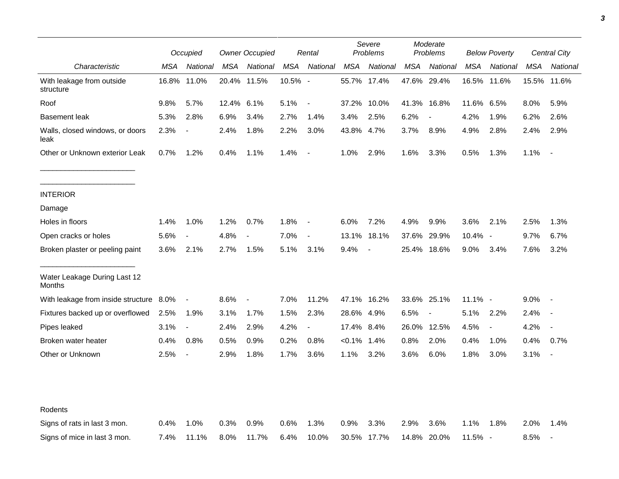| Occupied                                |       |                          | <b>Owner Occupied</b> |                          |         | Rental                   |            | Severe<br>Problems       | Moderate<br>Problems |                          | <b>Below Poverty</b> |                          | Central City |                          |
|-----------------------------------------|-------|--------------------------|-----------------------|--------------------------|---------|--------------------------|------------|--------------------------|----------------------|--------------------------|----------------------|--------------------------|--------------|--------------------------|
| Characteristic                          | MSA   | National                 | MSA                   | National                 | MSA     | National                 | MSA        | National                 | MSA                  | National                 | MSA                  | National                 | MSA          | National                 |
| With leakage from outside<br>structure  | 16.8% | 11.0%                    |                       | 20.4% 11.5%              | 10.5% - |                          | 55.7%      | 17.4%                    |                      | 47.6% 29.4%              | 16.5%                | 11.6%                    | 15.5%        | 11.6%                    |
| Roof                                    | 9.8%  | 5.7%                     | 12.4%                 | 6.1%                     | 5.1%    | $\overline{\phantom{a}}$ | 37.2%      | 10.0%                    |                      | 41.3% 16.8%              | 11.6%                | 6.5%                     | 8.0%         | 5.9%                     |
| <b>Basement leak</b>                    | 5.3%  | 2.8%                     | 6.9%                  | 3.4%                     | 2.7%    | 1.4%                     | 3.4%       | 2.5%                     | 6.2%                 | $\overline{\phantom{a}}$ | 4.2%                 | 1.9%                     | 6.2%         | 2.6%                     |
| Walls, closed windows, or doors<br>leak | 2.3%  | $\blacksquare$           | 2.4%                  | 1.8%                     | 2.2%    | 3.0%                     | 43.8% 4.7% |                          | 3.7%                 | 8.9%                     | 4.9%                 | 2.8%                     | 2.4%         | 2.9%                     |
| Other or Unknown exterior Leak          | 0.7%  | 1.2%                     | 0.4%                  | 1.1%                     | 1.4%    | $\overline{\phantom{a}}$ | 1.0%       | 2.9%                     | 1.6%                 | 3.3%                     | 0.5%                 | 1.3%                     | 1.1%         | $\overline{\phantom{a}}$ |
| <b>INTERIOR</b>                         |       |                          |                       |                          |         |                          |            |                          |                      |                          |                      |                          |              |                          |
| Damage                                  |       |                          |                       |                          |         |                          |            |                          |                      |                          |                      |                          |              |                          |
| Holes in floors                         | 1.4%  | 1.0%                     | 1.2%                  | 0.7%                     | 1.8%    | $\blacksquare$           | 6.0%       | 7.2%                     | 4.9%                 | 9.9%                     | 3.6%                 | 2.1%                     | 2.5%         | 1.3%                     |
| Open cracks or holes                    | 5.6%  | $\overline{\phantom{a}}$ | 4.8%                  | $\overline{\phantom{a}}$ | 7.0%    | $\overline{\phantom{a}}$ | 13.1%      | 18.1%                    | 37.6%                | 29.9%                    | 10.4% -              |                          | 9.7%         | 6.7%                     |
| Broken plaster or peeling paint         | 3.6%  | 2.1%                     | 2.7%                  | 1.5%                     | 5.1%    | 3.1%                     | 9.4%       | $\overline{\phantom{a}}$ | 25.4%                | 18.6%                    | 9.0%                 | 3.4%                     | 7.6%         | 3.2%                     |
| Water Leakage During Last 12<br>Months  |       |                          |                       |                          |         |                          |            |                          |                      |                          |                      |                          |              |                          |
| With leakage from inside structure 8.0% |       | $\blacksquare$           | 8.6%                  | $\overline{\phantom{a}}$ | 7.0%    | 11.2%                    |            | 47.1% 16.2%              | 33.6% 25.1%          |                          | 11.1% -              |                          | $9.0\%$      |                          |
| Fixtures backed up or overflowed        | 2.5%  | 1.9%                     | 3.1%                  | 1.7%                     | 1.5%    | 2.3%                     | 28.6% 4.9% |                          | 6.5%                 | $\overline{\phantom{a}}$ | 5.1%                 | 2.2%                     | 2.4%         |                          |
| Pipes leaked                            | 3.1%  | $\blacksquare$           | 2.4%                  | 2.9%                     | 4.2%    | $\overline{a}$           | 17.4% 8.4% |                          | 26.0%                | 12.5%                    | 4.5%                 | $\overline{\phantom{a}}$ | 4.2%         |                          |
| Broken water heater                     | 0.4%  | 0.8%                     | 0.5%                  | 0.9%                     | 0.2%    | 0.8%                     | <0.1%      | 1.4%                     | 0.8%                 | 2.0%                     | 0.4%                 | 1.0%                     | 0.4%         | 0.7%                     |
| Other or Unknown                        | 2.5%  | $\overline{\phantom{a}}$ | 2.9%                  | 1.8%                     | 1.7%    | 3.6%                     | 1.1%       | 3.2%                     | 3.6%                 | 6.0%                     | 1.8%                 | 3.0%                     | 3.1%         |                          |
| Rodents                                 |       |                          |                       |                          |         |                          |            |                          |                      |                          |                      |                          |              |                          |
| Signs of rats in last 3 mon.            | 0.4%  | 1.0%                     | 0.3%                  | 0.9%                     | 0.6%    | 1.3%                     | 0.9%       | 3.3%                     | 2.9%                 | 3.6%                     | 1.1%                 | 1.8%                     | 2.0%         | 1.4%                     |
| Signs of mice in last 3 mon.            | 7.4%  | 11.1%                    | 8.0%                  | 11.7%                    | 6.4%    | 10.0%                    |            | 30.5% 17.7%              |                      | 14.8% 20.0%              | 11.5% -              |                          | 8.5%         | $\overline{\phantom{a}}$ |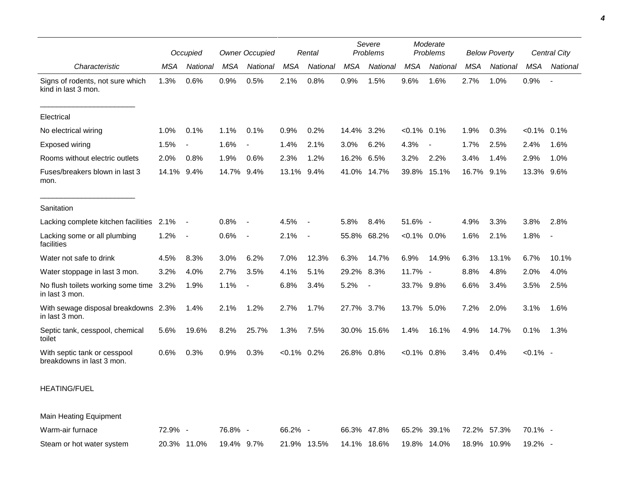|                                                           |            | Occupied |            | <b>Owner Occupied</b>    |                | Rental                   |            | Severe<br>Problems       |                | Moderate<br>Problems |            | <b>Below Poverty</b> |                | Central City             |
|-----------------------------------------------------------|------------|----------|------------|--------------------------|----------------|--------------------------|------------|--------------------------|----------------|----------------------|------------|----------------------|----------------|--------------------------|
| Characteristic                                            | <b>MSA</b> | National | <b>MSA</b> | National                 | <b>MSA</b>     | National                 | <b>MSA</b> | National                 | <b>MSA</b>     | National             | <b>MSA</b> | National             | <b>MSA</b>     | National                 |
| Signs of rodents, not sure which<br>kind in last 3 mon.   | 1.3%       | 0.6%     | 0.9%       | 0.5%                     | 2.1%           | 0.8%                     | 0.9%       | 1.5%                     | 9.6%           | 1.6%                 | 2.7%       | 1.0%                 | 0.9%           | $\overline{\phantom{a}}$ |
| Electrical                                                |            |          |            |                          |                |                          |            |                          |                |                      |            |                      |                |                          |
| No electrical wiring                                      | 1.0%       | 0.1%     | 1.1%       | 0.1%                     | 0.9%           | 0.2%                     | 14.4% 3.2% |                          | $< 0.1\%$ 0.1% |                      | 1.9%       | 0.3%                 | $< 0.1\%$ 0.1% |                          |
| <b>Exposed wiring</b>                                     | 1.5%       |          | 1.6%       |                          | 1.4%           | 2.1%                     | 3.0%       | 6.2%                     | 4.3%           |                      | 1.7%       | 2.5%                 | 2.4%           | 1.6%                     |
| Rooms without electric outlets                            | 2.0%       | 0.8%     | 1.9%       | 0.6%                     | 2.3%           | 1.2%                     | 16.2%      | 6.5%                     | 3.2%           | 2.2%                 | 3.4%       | 1.4%                 | 2.9%           | 1.0%                     |
| Fuses/breakers blown in last 3<br>mon.                    | 14.1% 9.4% |          | 14.7% 9.4% |                          | 13.1%          | 9.4%                     |            | 41.0% 14.7%              | 39.8%          | 15.1%                | 16.7%      | 9.1%                 | 13.3%          | 9.6%                     |
| Sanitation                                                |            |          |            |                          |                |                          |            |                          |                |                      |            |                      |                |                          |
| Lacking complete kitchen facilities                       | 2.1%       | $\sim$   | 0.8%       | $\blacksquare$           | 4.5%           | $\overline{\phantom{a}}$ | 5.8%       | 8.4%                     | 51.6% -        |                      | 4.9%       | 3.3%                 | 3.8%           | 2.8%                     |
| Lacking some or all plumbing<br>facilities                | 1.2%       | $\sim$   | 0.6%       | $\overline{\phantom{a}}$ | 2.1%           | $\overline{\phantom{a}}$ | 55.8%      | 68.2%                    | $< 0.1\%$ 0.0% |                      | 1.6%       | 2.1%                 | 1.8%           | $\overline{\phantom{a}}$ |
| Water not safe to drink                                   | 4.5%       | 8.3%     | 3.0%       | 6.2%                     | 7.0%           | 12.3%                    | 6.3%       | 14.7%                    | 6.9%           | 14.9%                | 6.3%       | 13.1%                | 6.7%           | 10.1%                    |
| Water stoppage in last 3 mon.                             | 3.2%       | 4.0%     | 2.7%       | 3.5%                     | 4.1%           | 5.1%                     | 29.2%      | 8.3%                     | 11.7% -        |                      | 8.8%       | 4.8%                 | 2.0%           | 4.0%                     |
| No flush toilets working some time 3.2%<br>in last 3 mon. |            | 1.9%     | 1.1%       |                          | 6.8%           | 3.4%                     | 5.2%       | $\overline{\phantom{a}}$ | 33.7% 9.8%     |                      | 6.6%       | 3.4%                 | 3.5%           | 2.5%                     |
| With sewage disposal breakdowns 2.3%<br>in last 3 mon.    |            | 1.4%     | 2.1%       | 1.2%                     | 2.7%           | 1.7%                     | 27.7% 3.7% |                          | 13.7% 5.0%     |                      | 7.2%       | 2.0%                 | 3.1%           | 1.6%                     |
| Septic tank, cesspool, chemical<br>toilet                 | 5.6%       | 19.6%    | 8.2%       | 25.7%                    | 1.3%           | 7.5%                     |            | 30.0% 15.6%              | 1.4%           | 16.1%                | 4.9%       | 14.7%                | 0.1%           | 1.3%                     |
| With septic tank or cesspool<br>breakdowns in last 3 mon. | 0.6%       | 0.3%     | 0.9%       | 0.3%                     | $< 0.1\%$ 0.2% |                          | 26.8% 0.8% |                          | $< 0.1\%$ 0.8% |                      | 3.4%       | 0.4%                 | $< 0.1\%$ -    |                          |
| <b>HEATING/FUEL</b>                                       |            |          |            |                          |                |                          |            |                          |                |                      |            |                      |                |                          |
| <b>Main Heating Equipment</b>                             |            |          |            |                          |                |                          |            |                          |                |                      |            |                      |                |                          |

| Warm-air furnace          | $72.9\%$ - | 76.8% - | 66.2% -                                                                              | 66.3% 47.8% 65.2% 39.1% 72.2% 57.3% 70.1% - |  |  |
|---------------------------|------------|---------|--------------------------------------------------------------------------------------|---------------------------------------------|--|--|
| Steam or hot water system |            |         | 20.3% 11.0%  19.4% 9.7%  21.9% 13.5%  14.1% 18.6%  19.8% 14.0%  18.9% 10.9%  19.2% - |                                             |  |  |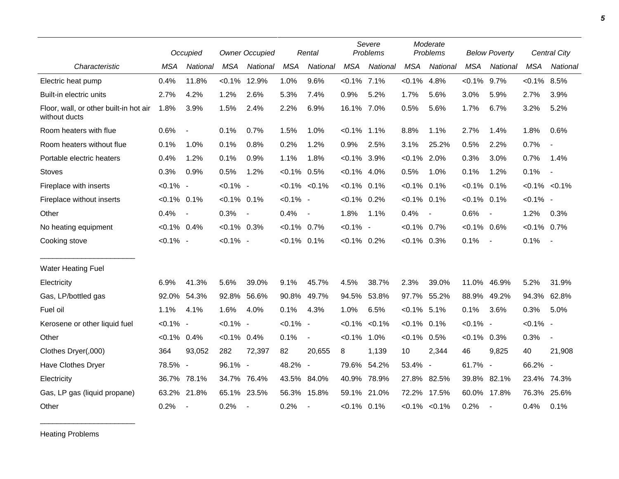|                                                         |                | Occupied                 | <b>Owner Occupied</b> |                          |                | Rental                   | Severe<br>Problems |           |                | Moderate<br>Problems     |                | <b>Below Poverty</b> |                | <b>Central City</b>      |  |
|---------------------------------------------------------|----------------|--------------------------|-----------------------|--------------------------|----------------|--------------------------|--------------------|-----------|----------------|--------------------------|----------------|----------------------|----------------|--------------------------|--|
| Characteristic                                          | <b>MSA</b>     | National                 | <b>MSA</b>            | National                 | <b>MSA</b>     | National                 | <b>MSA</b>         | National  | <b>MSA</b>     | National                 | <b>MSA</b>     | National             | <b>MSA</b>     | National                 |  |
| Electric heat pump                                      | 0.4%           | 11.8%                    | $< 0.1\%$             | 12.9%                    | 1.0%           | 9.6%                     | $< 0.1\%$ 7.1%     |           | $< 0.1\%$      | 4.8%                     | $< 0.1\%$      | 9.7%                 | $< 0.1\%$ 8.5% |                          |  |
| Built-in electric units                                 | 2.7%           | 4.2%                     | 1.2%                  | 2.6%                     | 5.3%           | 7.4%                     | 0.9%               | 5.2%      | 1.7%           | 5.6%                     | 3.0%           | 5.9%                 | 2.7%           | 3.9%                     |  |
| Floor, wall, or other built-in hot air<br>without ducts | 1.8%           | 3.9%                     | 1.5%                  | 2.4%                     | 2.2%           | 6.9%                     | 16.1% 7.0%         |           | 0.5%           | 5.6%                     | 1.7%           | 6.7%                 | 3.2%           | 5.2%                     |  |
| Room heaters with flue                                  | 0.6%           | $\overline{\phantom{a}}$ | 0.1%                  | 0.7%                     | 1.5%           | 1.0%                     | $< 0.1\%$          | $1.1\%$   | 8.8%           | 1.1%                     | 2.7%           | 1.4%                 | 1.8%           | 0.6%                     |  |
| Room heaters without flue                               | 0.1%           | 1.0%                     | 0.1%                  | 0.8%                     | 0.2%           | 1.2%                     | 0.9%               | 2.5%      | 3.1%           | 25.2%                    | 0.5%           | 2.2%                 | 0.7%           |                          |  |
| Portable electric heaters                               | 0.4%           | 1.2%                     | 0.1%                  | 0.9%                     | 1.1%           | 1.8%                     | $< 0.1\%$ 3.9%     |           | $< 0.1\%$      | 2.0%                     | 0.3%           | 3.0%                 | 0.7%           | 1.4%                     |  |
| Stoves                                                  | 0.3%           | 0.9%                     | 0.5%                  | 1.2%                     | $< 0.1\%$ 0.5% |                          | $< 0.1\%$ 4.0%     |           | 0.5%           | 1.0%                     | 0.1%           | 1.2%                 | 0.1%           | $\overline{\phantom{a}}$ |  |
| Fireplace with inserts                                  | $< 0.1\%$ -    |                          | $< 0.1\%$ -           |                          |                | $< 0.1\%$ $< 0.1\%$      | $< 0.1\%$ 0.1%     |           | $< 0.1\%$      | 0.1%                     | $< 0.1\%$ 0.1% |                      |                | $< 0.1\%$ $< 0.1\%$      |  |
| Fireplace without inserts                               | $< 0.1\%$ 0.1% |                          | $< 0.1\%$ 0.1%        |                          | $< 0.1\%$ -    |                          | $< 0.1\%$ 0.2%     |           | $< 0.1\%$ 0.1% |                          | $< 0.1\%$ 0.1% |                      | $< 0.1\%$ -    |                          |  |
| Other                                                   | 0.4%           | $\overline{\phantom{a}}$ | 0.3%                  | $\overline{\phantom{a}}$ | 0.4%           | $\overline{\phantom{a}}$ | 1.8%               | 1.1%      | 0.4%           | $\overline{\phantom{a}}$ | 0.6%           |                      | 1.2%           | 0.3%                     |  |
| No heating equipment                                    | $< 0.1\%$ 0.4% |                          | $< 0.1\%$ 0.3%        |                          | $< 0.1\%$ 0.7% |                          | $< 0.1\%$ -        |           | $< 0.1\%$      | 0.7%                     | $< 0.1\%$ 0.6% |                      | $< 0.1\%$ 0.7% |                          |  |
| Cooking stove                                           | $< 0.1\%$ -    |                          | $< 0.1\%$ -           |                          | $< 0.1\%$ 0.1% |                          | $< 0.1\%$ 0.2%     |           | $< 0.1\%$ 0.3% |                          | 0.1%           | $\blacksquare$       | 0.1%           | $\sim$                   |  |
| <b>Water Heating Fuel</b>                               |                |                          |                       |                          |                |                          |                    |           |                |                          |                |                      |                |                          |  |
| Electricity                                             | 6.9%           | 41.3%                    | 5.6%                  | 39.0%                    | 9.1%           | 45.7%                    | 4.5%               | 38.7%     | 2.3%           | 39.0%                    | 11.0%          | 46.9%                | 5.2%           | 31.9%                    |  |
| Gas, LP/bottled gas                                     | 92.0%          | 54.3%                    | 92.8%                 | 56.6%                    | 90.8%          | 49.7%                    | 94.5%              | 53.8%     | 97.7%          | 55.2%                    | 88.9%          | 49.2%                | 94.3%          | 62.8%                    |  |
| Fuel oil                                                | 1.1%           | 4.1%                     | 1.6%                  | 4.0%                     | 0.1%           | 4.3%                     | 1.0%               | 6.5%      | $< 0.1\%$ 5.1% |                          | 0.1%           | 3.6%                 | 0.3%           | 5.0%                     |  |
| Kerosene or other liquid fuel                           | $< 0.1\%$ -    |                          | $< 0.1\%$ -           |                          | $< 0.1\%$ -    |                          | $< 0.1\%$          | $< 0.1\%$ | $< 0.1\%$      | 0.1%                     | $< 0.1\%$ -    |                      | $< 0.1\%$ -    |                          |  |
| Other                                                   | $< 0.1\%$ 0.4% |                          | $< 0.1\%$ 0.4%        |                          | 0.1%           | $\overline{\phantom{a}}$ | $< 0.1\%$          | 1.0%      | $< 0.1\%$      | 0.5%                     | $<0.1\%$ 0.3%  |                      | 0.3%           | $\blacksquare$           |  |
| Clothes Dryer(,000)                                     | 364            | 93,052                   | 282                   | 72,397                   | 82             | 20.655                   | 8                  | 1,139     | 10             | 2,344                    | 46             | 9,825                | 40             | 21,908                   |  |
| Have Clothes Dryer                                      | 78.5% -        |                          | 96.1% -               |                          | 48.2% -        |                          | 79.6%              | 54.2%     | 53.4% -        |                          | 61.7% -        |                      | 66.2% -        |                          |  |
| Electricity                                             | 36.7%          | 78.1%                    | 34.7%                 | 76.4%                    | 43.5%          | 84.0%                    | 40.9%              | 78.9%     | 27.8%          | 82.5%                    | 39.8% 82.1%    |                      | 23.4% 74.3%    |                          |  |
| Gas, LP gas (liquid propane)                            | 63.2%          | 21.8%                    |                       | 65.1% 23.5%              |                | 56.3% 15.8%              | 59.1%              | 21.0%     |                | 72.2% 17.5%              | 60.0% 17.8%    |                      | 76.3%          | 25.6%                    |  |
| Other                                                   | 0.2%           | $\overline{\phantom{a}}$ | 0.2%                  |                          | 0.2%           |                          | $< 0.1\%$ 0.1%     |           |                | $< 0.1\%$ $< 0.1\%$      | 0.2%           |                      | 0.4%           | 0.1%                     |  |

Heating Problems

\_\_\_\_\_\_\_\_\_\_\_\_\_\_\_\_\_\_\_\_\_\_\_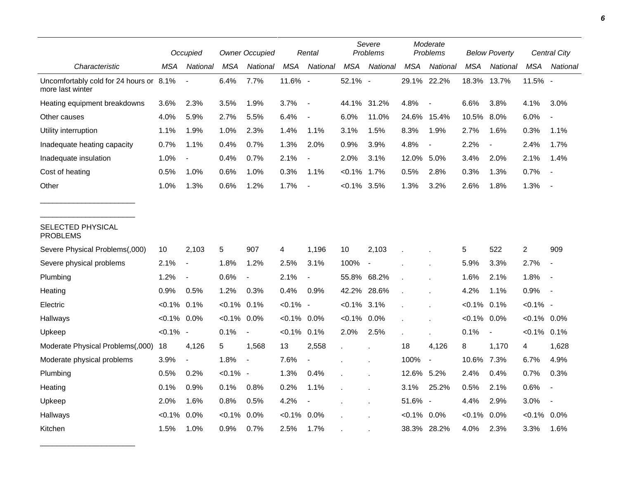|                                                             | Occupied       |                          | <b>Owner Occupied</b> |                          |             | Rental                   | Severe<br>Problems |             | Moderate<br>Problems |                          | <b>Below Poverty</b> |                          | Central City   |                          |
|-------------------------------------------------------------|----------------|--------------------------|-----------------------|--------------------------|-------------|--------------------------|--------------------|-------------|----------------------|--------------------------|----------------------|--------------------------|----------------|--------------------------|
| Characteristic                                              | MSA            | National                 | <b>MSA</b>            | National                 | <b>MSA</b>  | National                 | <b>MSA</b>         | National    | <b>MSA</b>           | National                 | <b>MSA</b>           | National                 | <b>MSA</b>     | National                 |
| Uncomfortably cold for 24 hours or 8.1%<br>more last winter |                |                          | 6.4%                  | 7.7%                     | 11.6% -     |                          | 52.1% -            |             |                      | 29.1% 22.2%              | 18.3%                | 13.7%                    | 11.5% -        |                          |
| Heating equipment breakdowns                                | 3.6%           | 2.3%                     | 3.5%                  | 1.9%                     | 3.7%        | $\blacksquare$           |                    | 44.1% 31.2% | 4.8%                 |                          | 6.6%                 | 3.8%                     | 4.1%           | 3.0%                     |
| Other causes                                                | 4.0%           | 5.9%                     | 2.7%                  | 5.5%                     | 6.4%        | $\overline{\phantom{a}}$ | 6.0%               | 11.0%       | 24.6%                | 15.4%                    | 10.5%                | 8.0%                     | 6.0%           |                          |
| Utility interruption                                        | 1.1%           | 1.9%                     | 1.0%                  | 2.3%                     | 1.4%        | 1.1%                     | 3.1%               | 1.5%        | 8.3%                 | 1.9%                     | 2.7%                 | 1.6%                     | 0.3%           | 1.1%                     |
| Inadequate heating capacity                                 | 0.7%           | 1.1%                     | 0.4%                  | 0.7%                     | 1.3%        | 2.0%                     | 0.9%               | 3.9%        | 4.8%                 | $\frac{1}{2}$            | 2.2%                 | $\overline{\phantom{a}}$ | 2.4%           | 1.7%                     |
| Inadequate insulation                                       | 1.0%           | $\overline{\phantom{a}}$ | 0.4%                  | 0.7%                     | 2.1%        | $\blacksquare$           | 2.0%               | 3.1%        | 12.0%                | 5.0%                     | 3.4%                 | 2.0%                     | 2.1%           | 1.4%                     |
| Cost of heating                                             | 0.5%           | 1.0%                     | 0.6%                  | 1.0%                     | 0.3%        | 1.1%                     | $< 0.1\%$          | $1.7\%$     | 0.5%                 | 2.8%                     | 0.3%                 | 1.3%                     | 0.7%           | $\sim$                   |
| Other                                                       | 1.0%           | 1.3%                     | 0.6%                  | 1.2%                     | 1.7%        |                          | $< 0.1\%$          | 3.5%        | 1.3%                 | 3.2%                     | 2.6%                 | 1.8%                     | 1.3%           |                          |
| SELECTED PHYSICAL<br><b>PROBLEMS</b>                        |                |                          |                       |                          |             |                          |                    |             |                      |                          |                      |                          |                |                          |
| Severe Physical Problems(,000)                              | 10             | 2,103                    | 5                     | 907                      | 4           | 1,196                    | 10                 | 2,103       |                      |                          | 5                    | 522                      | $\overline{c}$ | 909                      |
| Severe physical problems                                    | 2.1%           | $\overline{\phantom{a}}$ | 1.8%                  | 1.2%                     | 2.5%        | 3.1%                     | 100%               | $\sim$      |                      |                          | 5.9%                 | 3.3%                     | 2.7%           | $\overline{a}$           |
| Plumbing                                                    | 1.2%           | $\overline{\phantom{a}}$ | 0.6%                  | $\overline{\phantom{a}}$ | 2.1%        |                          |                    | 55.8% 68.2% |                      |                          | 1.6%                 | 2.1%                     | 1.8%           | $\overline{a}$           |
| Heating                                                     | 0.9%           | 0.5%                     | 1.2%                  | 0.3%                     | 0.4%        | 0.9%                     | 42.2%              | 28.6%       |                      |                          | 4.2%                 | 1.1%                     | 0.9%           | $\overline{\phantom{a}}$ |
| Electric                                                    | $< 0.1\%$ 0.1% |                          | $< 0.1\%$             | 0.1%                     | $< 0.1\%$ - |                          | $< 0.1\%$ 3.1%     |             |                      |                          | $< 0.1\%$            | 0.1%                     | $< 0.1\%$ -    |                          |
| Hallways                                                    | $< 0.1\%$ 0.0% |                          | $< 0.1\%$             | 0.0%                     | $< 0.1\%$   | $0.0\%$                  | $< 0.1\%$ 0.0%     |             |                      |                          | $< 0.1\%$            | 0.0%                     | $< 0.1\%$ 0.0% |                          |
| Upkeep                                                      | $< 0.1\%$ -    |                          | 0.1%                  | $\sim$                   | $< 0.1\%$   | 0.1%                     | 2.0%               | 2.5%        |                      | ÷.                       | 0.1%                 | $\overline{\phantom{a}}$ | $< 0.1\%$ 0.1% |                          |
| Moderate Physical Problems(,000)                            | 18             | 4,126                    | 5                     | 1,568                    | 13          | 2,558                    | $\mathbf{r}$       |             | 18                   | 4,126                    | 8                    | 1,170                    | 4              | 1,628                    |
| Moderate physical problems                                  | 3.9%           | $\blacksquare$           | 1.8%                  | $\overline{a}$           | 7.6%        | $\overline{\phantom{a}}$ |                    |             | 100%                 | $\overline{\phantom{a}}$ | 10.6%                | 7.3%                     | 6.7%           | 4.9%                     |
| Plumbing                                                    | 0.5%           | 0.2%                     | $< 0.1\%$ -           |                          | 1.3%        | 0.4%                     |                    |             | 12.6%                | 5.2%                     | 2.4%                 | 0.4%                     | 0.7%           | 0.3%                     |
| Heating                                                     | 0.1%           | 0.9%                     | 0.1%                  | 0.8%                     | 0.2%        | 1.1%                     |                    |             | 3.1%                 | 25.2%                    | 0.5%                 | 2.1%                     | 0.6%           | $\blacksquare$           |
| Upkeep                                                      | 2.0%           | 1.6%                     | 0.8%                  | 0.5%                     | 4.2%        | $\blacksquare$           |                    |             | 51.6%                | $\overline{\phantom{a}}$ | 4.4%                 | 2.9%                     | 3.0%           | $\overline{\phantom{a}}$ |
| Hallways                                                    | $< 0.1\%$      | 0.0%                     | $< 0.1\%$             | 0.0%                     | $< 0.1\%$   | 0.0%                     |                    |             | $< 0.1\%$            | 0.0%                     | $< 0.1\%$            | 0.0%                     | $< 0.1\%$      | 0.0%                     |
| Kitchen                                                     | 1.5%           | 1.0%                     | 0.9%                  | 0.7%                     | 2.5%        | 1.7%                     |                    |             | 38.3%                | 28.2%                    | 4.0%                 | 2.3%                     | 3.3%           | 1.6%                     |

\_\_\_\_\_\_\_\_\_\_\_\_\_\_\_\_\_\_\_\_\_\_\_